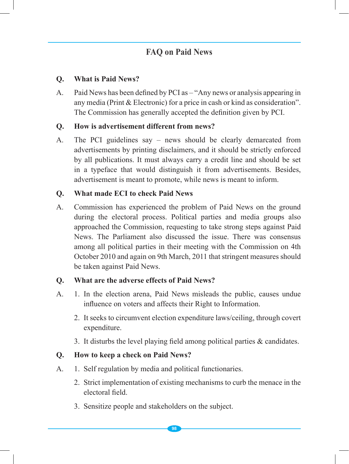# **FAQ** on Paid News

#### **Q. What is Paid News?**

A. Paid News has been defined by PCI as – "Any news or analysis appearing in any media (Print & Electronic) for a price in cash or kind as consideration". The Commission has generally accepted the definition given by PCI.

#### **Q. How is advertisement different from news?**

A. The PCI guidelines say – news should be clearly demarcated from advertisements by printing disclaimers, and it should be strictly enforced by all publications. It must always carry a credit line and should be set in a typeface that would distinguish it from advertisements. Besides, advertisement is meant to promote, while news is meant to inform.

#### **Q. What made ECI to check Paid News**

A. Commission has experienced the problem of Paid News on the ground during the electoral process. Political parties and media groups also approached the Commission, requesting to take strong steps against Paid News. The Parliament also discussed the issue. There was consensus among all political parties in their meeting with the Commission on 4th October 2010 and again on 9th March, 2011 that stringent measures should be taken against Paid News.

#### **Q. What are the adverse effects of Paid News?**

- A. 1. In the election arena, Paid News misleads the public, causes undue influence on voters and affects their Right to Information.
	- 2. It seeks to circumvent election expenditure laws/ceiling, through covert expenditure.
	- 3. It disturbs the level playing field among political parties & candidates.

### **Q. How to keep a check on Paid News?**

- A. 1. Self regulation by media and political functionaries.
	- 2. Strict implementation of existing mechanisms to curb the menace in the electoral field.
	- 3. Sensitize people and stakeholders on the subject.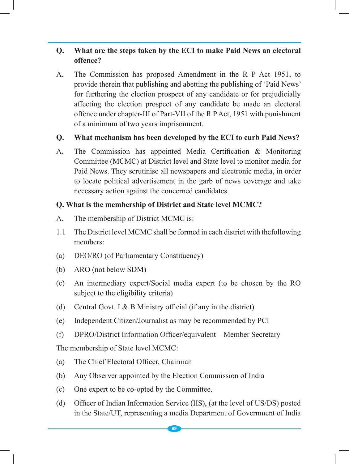# **Q. What are the steps taken by the ECI to make Paid News an electoral offence?**

A. The Commission has proposed Amendment in the R P Act 1951, to provide therein that publishing and abetting the publishing of 'Paid News' for furthering the election prospect of any candidate or for prejudicially affecting the election prospect of any candidate be made an electoral offence under chapter-III of Part-VII of the R P Act, 1951 with punishment of a minimum of two years imprisonment.

#### **Q. What mechanism has been developed by the ECI to curb Paid News?**

A. The Commission has appointed Media Certification & Monitoring Committee (MCMC) at District level and State level to monitor media for Paid News. They scrutinise all newspapers and electronic media, in order to locate political advertisement in the garb of news coverage and take necessary action against the concerned candidates.

#### **Q. What is the membership of District and State level MCMC?**

- A. The membership of District MCMC is:
- 1.1 The District level MCMC shall be formed in each district with thefollowing members:
- (a) DEO/RO (of Parliamentary Constituency)
- (b) ARO (not below SDM)
- (c) An intermediary expert/Social media expert (to be chosen by the RO subject to the eligibility criteria)
- (d) Central Govt. I & B Ministry official (if any in the district)
- (e) Independent Citizen/Journalist as may be recommended by PCI
- (f) DPRO/District Information Officer/equivalent Member Secretary

The membership of State level MCMC:

- (a) The Chief Electoral Officer, Chairman
- (b) Any Observer appointed by the Election Commission of India
- (c) One expert to be co-opted by the Committee.
- (d) Officer of Indian Information Service (IIS), (at the level of US/DS) posted in the State/UT, representing a media Department of Government of India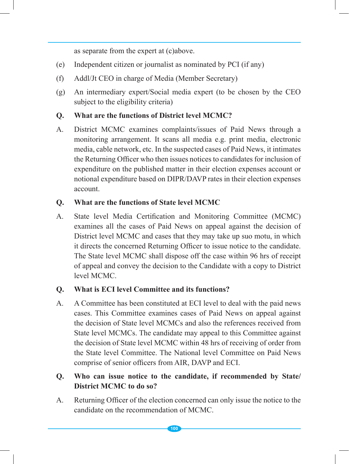as separate from the expert at (c)above.

- (e) Independent citizen or journalist as nominated by PCI (if any)
- (f) Addl/Jt CEO in charge of Media (Member Secretary)
- (g) An intermediary expert/Social media expert (to be chosen by the CEO subject to the eligibility criteria)

# **Q. What are the functions of District level MCMC?**

A. District MCMC examines complaints/issues of Paid News through a monitoring arrangement. It scans all media e.g. print media, electronic media, cable network, etc. In the suspected cases of Paid News, it intimates the Returning Officer who then issues notices to candidates for inclusion of expenditure on the published matter in their election expenses account or notional expenditure based on DIPR/DAVP rates in their election expenses account.

# **Q. What are the functions of State level MCMC**

A. State level Media Certification and Monitoring Committee (MCMC) examines all the cases of Paid News on appeal against the decision of District level MCMC and cases that they may take up suo motu, in which it directs the concerned Returning Officer to issue notice to the candidate. The State level MCMC shall dispose off the case within 96 hrs of receipt of appeal and convey the decision to the Candidate with a copy to District level MCMC.

### **Q. What is ECI level Committee and its functions?**

A. A Committee has been constituted at ECI level to deal with the paid news cases. This Committee examines cases of Paid News on appeal against the decision of State level MCMCs and also the references received from State level MCMCs. The candidate may appeal to this Committee against the decision of State level MCMC within 48 hrs of receiving of order from the State level Committee. The National level Committee on Paid News comprise of senior officers from AIR, DAVP and ECI.

# **Q. Who can issue notice to the candidate, if recommended by State/ District MCMC to do so?**

A. Returning Officer of the election concerned can only issue the notice to the candidate on the recommendation of MCMC.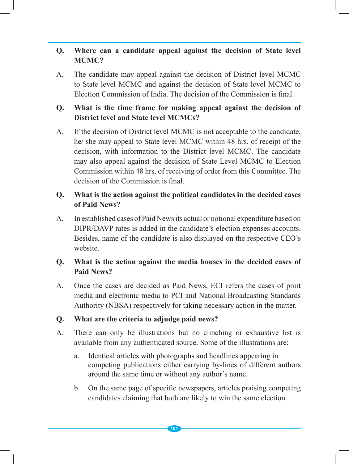# **Q. Where can a candidate appeal against the decision of State level MCMC?**

A. The candidate may appeal against the decision of District level MCMC to State level MCMC and against the decision of State level MCMC to Election Commission of India. The decision of the Commission is final.

# **Q. What is the time frame for making appeal against the decision of District level and State level MCMCs?**

A. If the decision of District level MCMC is not acceptable to the candidate, he/ she may appeal to State level MCMC within 48 hrs. of receipt of the decision, with information to the District level MCMC. The candidate may also appeal against the decision of State Level MCMC to Election Commission within 48 hrs. of receiving of order from this Committee. The decision of the Commission is final.

### **Q. What is the action against the political candidates in the decided cases of Paid News?**

A. In established cases of Paid News its actual or notional expenditure based on DIPR/DAVP rates is added in the candidate's election expenses accounts. Besides, name of the candidate is also displayed on the respective CEO's website.

# **Q. What is the action against the media houses in the decided cases of Paid News?**

A. Once the cases are decided as Paid News, ECI refers the cases of print media and electronic media to PCI and National Broadcasting Standards Authority (NBSA) respectively for taking necessary action in the matter.

### **Q. What are the criteria to adjudge paid news?**

- A. There can only be illustrations but no clinching or exhaustive list is available from any authenticated source. Some of the illustrations are:
	- a. Identical articles with photographs and headlines appearing in competing publications either carrying by-lines of different authors around the same time or without any author's name.
	- b. On the same page of specific newspapers, articles praising competing candidates claiming that both are likely to win the same election.